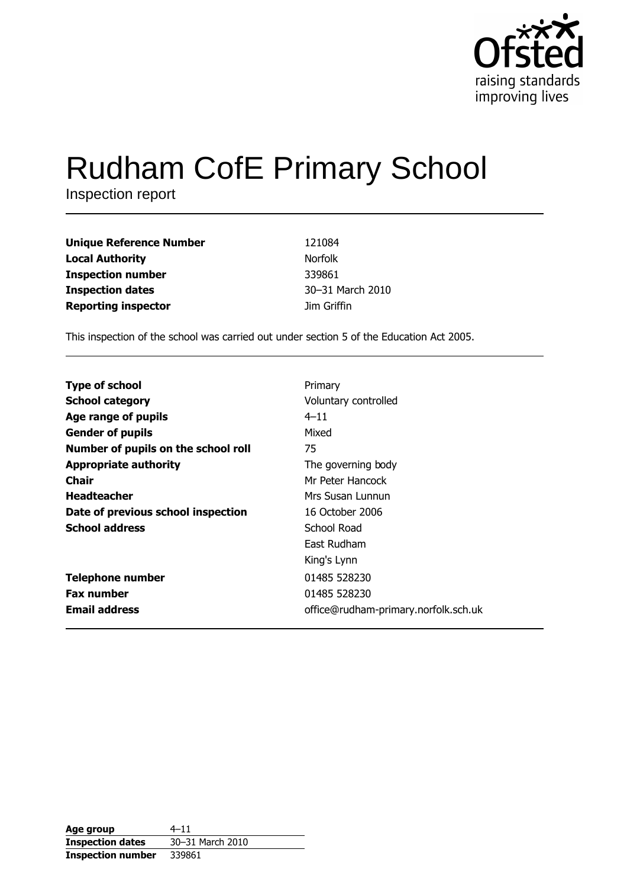

# **Rudham CofE Primary School**

Inspection report

| <b>Unique Reference Number</b> | 121084           |
|--------------------------------|------------------|
| <b>Local Authority</b>         | <b>Norfolk</b>   |
| <b>Inspection number</b>       | 339861           |
| <b>Inspection dates</b>        | 30-31 March 2010 |
| <b>Reporting inspector</b>     | Jim Griffin      |

This inspection of the school was carried out under section 5 of the Education Act 2005.

| <b>Type of school</b>               | Primary                              |
|-------------------------------------|--------------------------------------|
| <b>School category</b>              | Voluntary controlled                 |
| Age range of pupils                 | $4 - 11$                             |
| <b>Gender of pupils</b>             | Mixed                                |
| Number of pupils on the school roll | 75                                   |
| <b>Appropriate authority</b>        | The governing body                   |
| Chair                               | Mr Peter Hancock                     |
| <b>Headteacher</b>                  | Mrs Susan Lunnun                     |
| Date of previous school inspection  | 16 October 2006                      |
| <b>School address</b>               | School Road                          |
|                                     | East Rudham                          |
|                                     | King's Lynn                          |
| <b>Telephone number</b>             | 01485 528230                         |
| <b>Fax number</b>                   | 01485 528230                         |
| <b>Email address</b>                | office@rudham-primary.norfolk.sch.uk |

| Age group                | $4 - 11$         |
|--------------------------|------------------|
| <b>Inspection dates</b>  | 30-31 March 2010 |
| <b>Inspection number</b> | 339861           |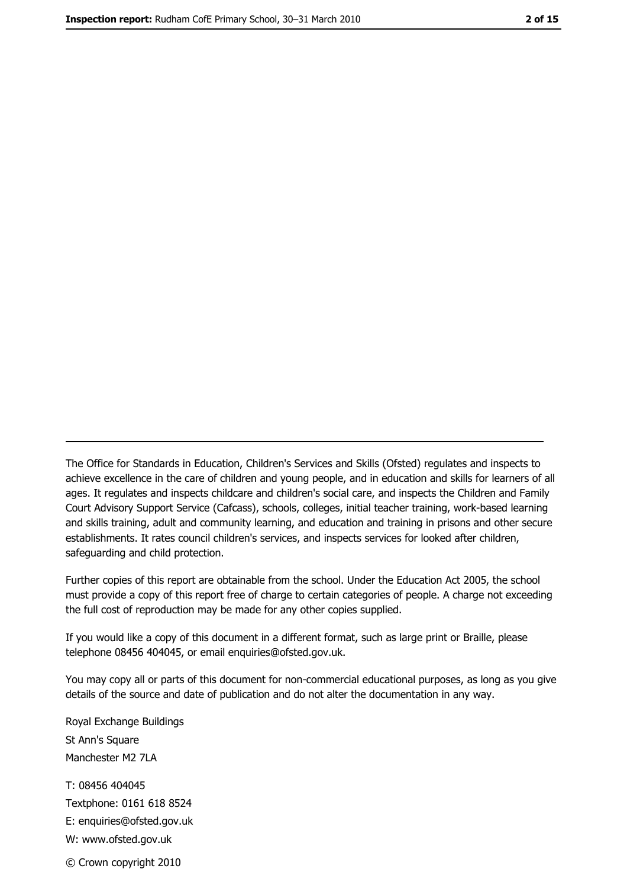The Office for Standards in Education, Children's Services and Skills (Ofsted) regulates and inspects to achieve excellence in the care of children and young people, and in education and skills for learners of all ages. It regulates and inspects childcare and children's social care, and inspects the Children and Family Court Advisory Support Service (Cafcass), schools, colleges, initial teacher training, work-based learning and skills training, adult and community learning, and education and training in prisons and other secure establishments. It rates council children's services, and inspects services for looked after children, safequarding and child protection.

Further copies of this report are obtainable from the school. Under the Education Act 2005, the school must provide a copy of this report free of charge to certain categories of people. A charge not exceeding the full cost of reproduction may be made for any other copies supplied.

If you would like a copy of this document in a different format, such as large print or Braille, please telephone 08456 404045, or email enquiries@ofsted.gov.uk.

You may copy all or parts of this document for non-commercial educational purposes, as long as you give details of the source and date of publication and do not alter the documentation in any way.

Royal Exchange Buildings St Ann's Square Manchester M2 7LA T: 08456 404045 Textphone: 0161 618 8524 E: enquiries@ofsted.gov.uk W: www.ofsted.gov.uk © Crown copyright 2010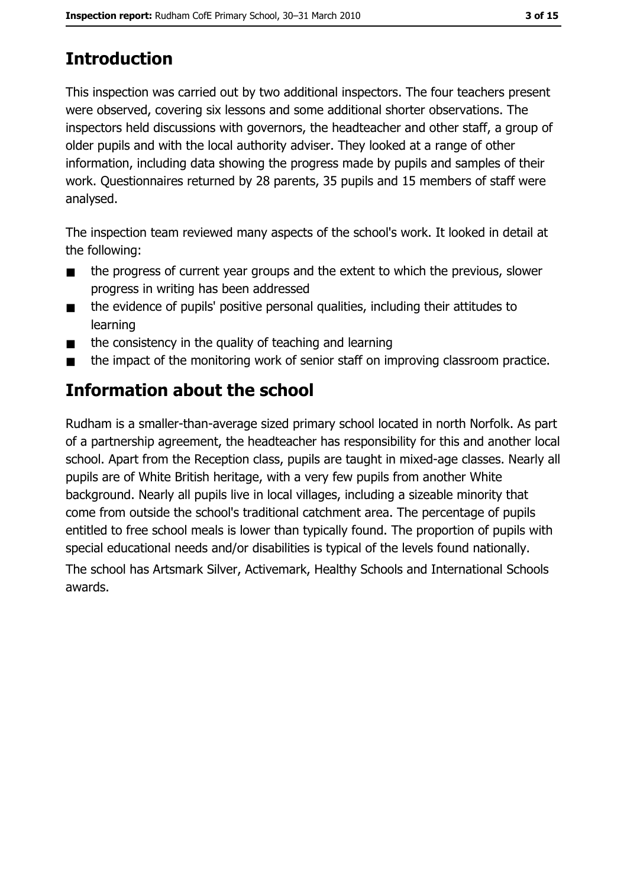# **Introduction**

This inspection was carried out by two additional inspectors. The four teachers present were observed, covering six lessons and some additional shorter observations. The inspectors held discussions with governors, the headteacher and other staff, a group of older pupils and with the local authority adviser. They looked at a range of other information, including data showing the progress made by pupils and samples of their work. Questionnaires returned by 28 parents, 35 pupils and 15 members of staff were analysed.

The inspection team reviewed many aspects of the school's work. It looked in detail at the following:

- the progress of current year groups and the extent to which the previous, slower  $\blacksquare$ progress in writing has been addressed
- the evidence of pupils' positive personal qualities, including their attitudes to  $\blacksquare$ learning
- the consistency in the quality of teaching and learning  $\blacksquare$
- the impact of the monitoring work of senior staff on improving classroom practice.

# Information about the school

Rudham is a smaller-than-average sized primary school located in north Norfolk. As part of a partnership agreement, the headteacher has responsibility for this and another local school. Apart from the Reception class, pupils are taught in mixed-age classes. Nearly all pupils are of White British heritage, with a very few pupils from another White background. Nearly all pupils live in local villages, including a sizeable minority that come from outside the school's traditional catchment area. The percentage of pupils entitled to free school meals is lower than typically found. The proportion of pupils with special educational needs and/or disabilities is typical of the levels found nationally.

The school has Artsmark Silver, Activemark, Healthy Schools and International Schools awards.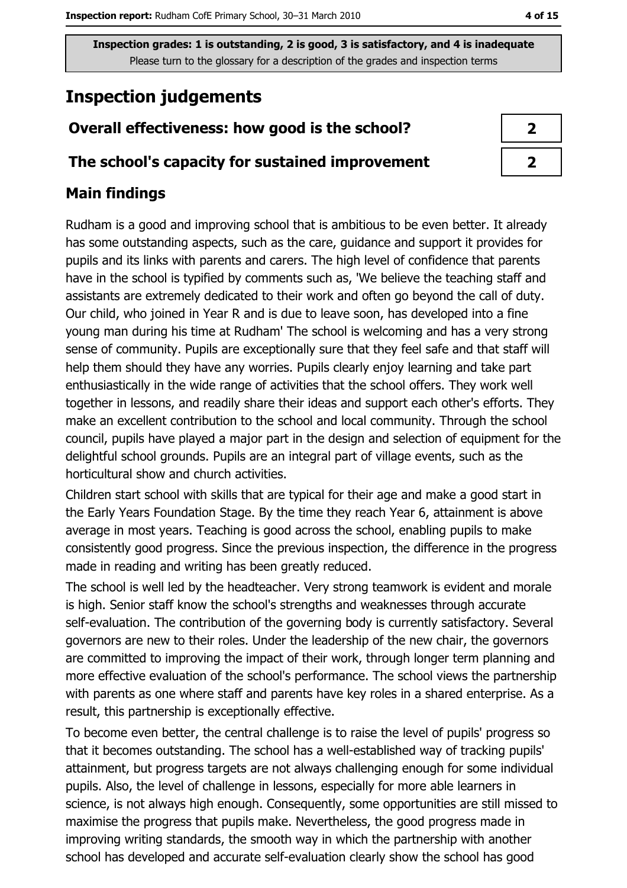# **Inspection judgements**

## Overall effectiveness: how good is the school?

## The school's capacity for sustained improvement

## **Main findings**

Rudham is a good and improving school that is ambitious to be even better. It already has some outstanding aspects, such as the care, guidance and support it provides for pupils and its links with parents and carers. The high level of confidence that parents have in the school is typified by comments such as, 'We believe the teaching staff and assistants are extremely dedicated to their work and often go beyond the call of duty. Our child, who joined in Year R and is due to leave soon, has developed into a fine young man during his time at Rudham' The school is welcoming and has a very strong sense of community. Pupils are exceptionally sure that they feel safe and that staff will help them should they have any worries. Pupils clearly enjoy learning and take part enthusiastically in the wide range of activities that the school offers. They work well together in lessons, and readily share their ideas and support each other's efforts. They make an excellent contribution to the school and local community. Through the school council, pupils have played a major part in the design and selection of equipment for the delightful school grounds. Pupils are an integral part of village events, such as the horticultural show and church activities.

Children start school with skills that are typical for their age and make a good start in the Early Years Foundation Stage. By the time they reach Year 6, attainment is above average in most years. Teaching is good across the school, enabling pupils to make consistently good progress. Since the previous inspection, the difference in the progress made in reading and writing has been greatly reduced.

The school is well led by the headteacher. Very strong teamwork is evident and morale is high. Senior staff know the school's strengths and weaknesses through accurate self-evaluation. The contribution of the governing body is currently satisfactory. Several governors are new to their roles. Under the leadership of the new chair, the governors are committed to improving the impact of their work, through longer term planning and more effective evaluation of the school's performance. The school views the partnership with parents as one where staff and parents have key roles in a shared enterprise. As a result, this partnership is exceptionally effective.

To become even better, the central challenge is to raise the level of pupils' progress so that it becomes outstanding. The school has a well-established way of tracking pupils' attainment, but progress targets are not always challenging enough for some individual pupils. Also, the level of challenge in lessons, especially for more able learners in science, is not always high enough. Consequently, some opportunities are still missed to maximise the progress that pupils make. Nevertheless, the good progress made in improving writing standards, the smooth way in which the partnership with another school has developed and accurate self-evaluation clearly show the school has good

| 2 |  |
|---|--|
| 2 |  |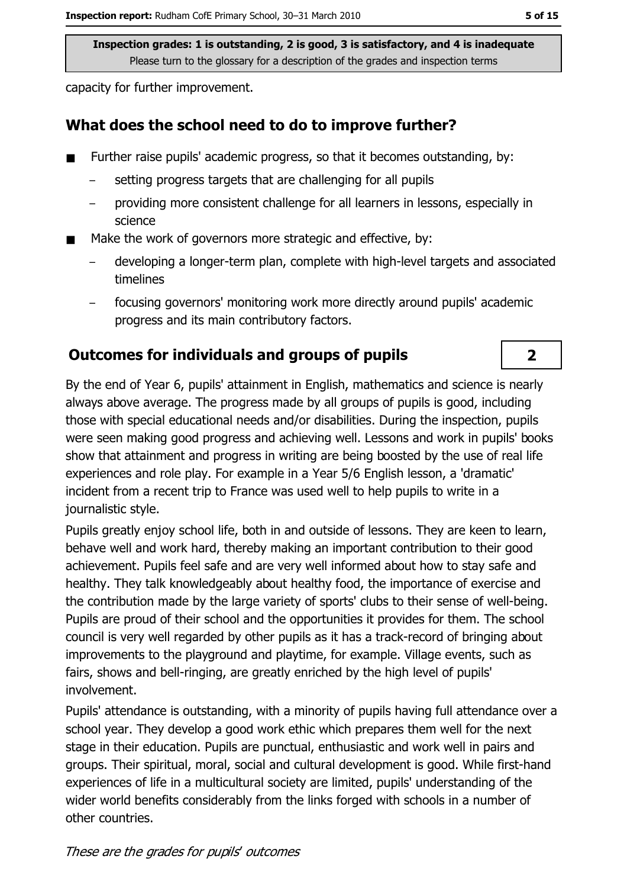capacity for further improvement.

## What does the school need to do to improve further?

- Further raise pupils' academic progress, so that it becomes outstanding, by:
	- setting progress targets that are challenging for all pupils
	- providing more consistent challenge for all learners in lessons, especially in science
- Make the work of governors more strategic and effective, by:
	- developing a longer-term plan, complete with high-level targets and associated timelines
	- focusing governors' monitoring work more directly around pupils' academic progress and its main contributory factors.

# **Outcomes for individuals and groups of pupils**

By the end of Year 6, pupils' attainment in English, mathematics and science is nearly always above average. The progress made by all groups of pupils is good, including those with special educational needs and/or disabilities. During the inspection, pupils were seen making good progress and achieving well. Lessons and work in pupils' books show that attainment and progress in writing are being boosted by the use of real life experiences and role play. For example in a Year 5/6 English lesson, a 'dramatic' incident from a recent trip to France was used well to help pupils to write in a journalistic style.

Pupils greatly enjoy school life, both in and outside of lessons. They are keen to learn, behave well and work hard, thereby making an important contribution to their good achievement. Pupils feel safe and are very well informed about how to stay safe and healthy. They talk knowledgeably about healthy food, the importance of exercise and the contribution made by the large variety of sports' clubs to their sense of well-being. Pupils are proud of their school and the opportunities it provides for them. The school council is very well regarded by other pupils as it has a track-record of bringing about improvements to the playground and playtime, for example. Village events, such as fairs, shows and bell-ringing, are greatly enriched by the high level of pupils' involvement.

Pupils' attendance is outstanding, with a minority of pupils having full attendance over a school year. They develop a good work ethic which prepares them well for the next stage in their education. Pupils are punctual, enthusiastic and work well in pairs and groups. Their spiritual, moral, social and cultural development is good. While first-hand experiences of life in a multicultural society are limited, pupils' understanding of the wider world benefits considerably from the links forged with schools in a number of other countries.

These are the grades for pupils' outcomes

 $\overline{\mathbf{2}}$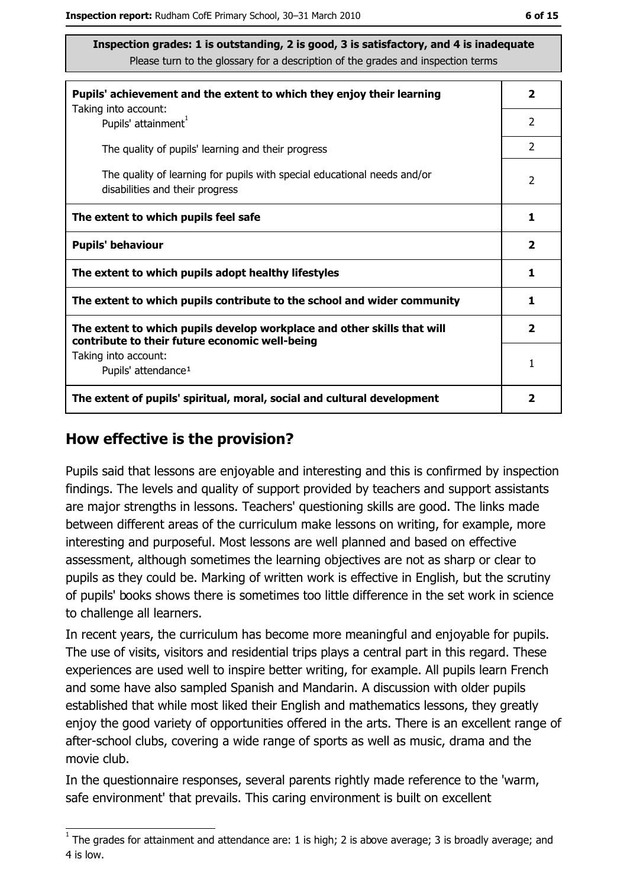| Pupils' achievement and the extent to which they enjoy their learning                                                     |                         |
|---------------------------------------------------------------------------------------------------------------------------|-------------------------|
| Taking into account:<br>Pupils' attainment <sup>1</sup>                                                                   | 2                       |
| The quality of pupils' learning and their progress                                                                        | $\mathcal{P}$           |
| The quality of learning for pupils with special educational needs and/or<br>disabilities and their progress               | $\overline{2}$          |
| The extent to which pupils feel safe                                                                                      | 1                       |
| <b>Pupils' behaviour</b>                                                                                                  | $\overline{\mathbf{2}}$ |
| The extent to which pupils adopt healthy lifestyles                                                                       | 1                       |
| The extent to which pupils contribute to the school and wider community                                                   |                         |
| The extent to which pupils develop workplace and other skills that will<br>contribute to their future economic well-being | $\overline{\mathbf{2}}$ |
| Taking into account:                                                                                                      | 1                       |
| Pupils' attendance <sup>1</sup>                                                                                           |                         |
| The extent of pupils' spiritual, moral, social and cultural development                                                   |                         |

#### How effective is the provision?

Pupils said that lessons are eniovable and interesting and this is confirmed by inspection findings. The levels and quality of support provided by teachers and support assistants are major strengths in lessons. Teachers' questioning skills are good. The links made between different areas of the curriculum make lessons on writing, for example, more interesting and purposeful. Most lessons are well planned and based on effective assessment, although sometimes the learning objectives are not as sharp or clear to pupils as they could be. Marking of written work is effective in English, but the scrutiny of pupils' books shows there is sometimes too little difference in the set work in science to challenge all learners.

In recent years, the curriculum has become more meaningful and enjoyable for pupils. The use of visits, visitors and residential trips plays a central part in this regard. These experiences are used well to inspire better writing, for example. All pupils learn French and some have also sampled Spanish and Mandarin. A discussion with older pupils established that while most liked their English and mathematics lessons, they greatly enjoy the good variety of opportunities offered in the arts. There is an excellent range of after-school clubs, covering a wide range of sports as well as music, drama and the movie club.

In the questionnaire responses, several parents rightly made reference to the 'warm, safe environment' that prevails. This caring environment is built on excellent

 $\overline{1}$  The grades for attainment and attendance are: 1 is high; 2 is above average; 3 is broadly average; and 4 is low.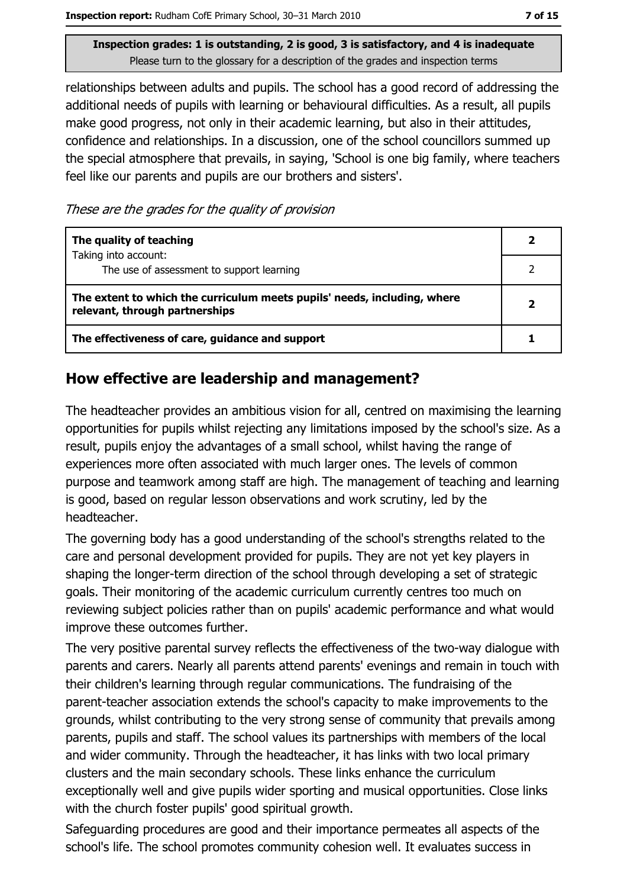relationships between adults and pupils. The school has a good record of addressing the additional needs of pupils with learning or behavioural difficulties. As a result, all pupils make good progress, not only in their academic learning, but also in their attitudes, confidence and relationships. In a discussion, one of the school councillors summed up the special atmosphere that prevails, in saying, 'School is one big family, where teachers feel like our parents and pupils are our brothers and sisters'.

These are the grades for the quality of provision

| The quality of teaching                                                                                    |  |
|------------------------------------------------------------------------------------------------------------|--|
| Taking into account:<br>The use of assessment to support learning                                          |  |
| The extent to which the curriculum meets pupils' needs, including, where<br>relevant, through partnerships |  |
| The effectiveness of care, guidance and support                                                            |  |

## How effective are leadership and management?

The headteacher provides an ambitious vision for all, centred on maximising the learning opportunities for pupils whilst rejecting any limitations imposed by the school's size. As a result, pupils enjoy the advantages of a small school, whilst having the range of experiences more often associated with much larger ones. The levels of common purpose and teamwork among staff are high. The management of teaching and learning is good, based on regular lesson observations and work scrutiny, led by the headteacher.

The governing body has a good understanding of the school's strengths related to the care and personal development provided for pupils. They are not yet key players in shaping the longer-term direction of the school through developing a set of strategic goals. Their monitoring of the academic curriculum currently centres too much on reviewing subject policies rather than on pupils' academic performance and what would improve these outcomes further.

The very positive parental survey reflects the effectiveness of the two-way dialogue with parents and carers. Nearly all parents attend parents' evenings and remain in touch with their children's learning through regular communications. The fundraising of the parent-teacher association extends the school's capacity to make improvements to the grounds, whilst contributing to the very strong sense of community that prevails among parents, pupils and staff. The school values its partnerships with members of the local and wider community. Through the headteacher, it has links with two local primary clusters and the main secondary schools. These links enhance the curriculum exceptionally well and give pupils wider sporting and musical opportunities. Close links with the church foster pupils' good spiritual growth.

Safeguarding procedures are good and their importance permeates all aspects of the school's life. The school promotes community cohesion well. It evaluates success in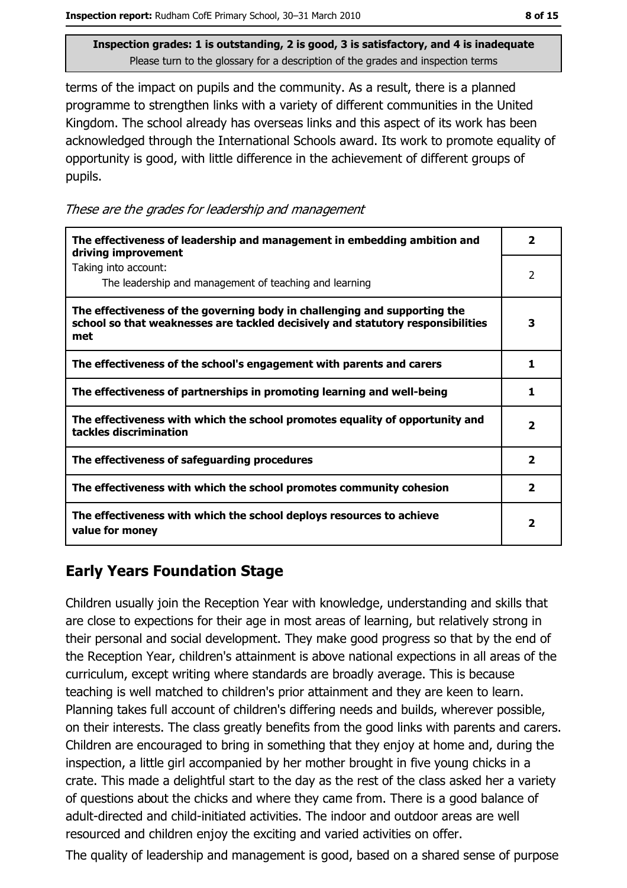terms of the impact on pupils and the community. As a result, there is a planned programme to strengthen links with a variety of different communities in the United Kingdom. The school already has overseas links and this aspect of its work has been acknowledged through the International Schools award. Its work to promote equality of opportunity is good, with little difference in the achievement of different groups of pupils.

These are the grades for leadership and management

| The effectiveness of leadership and management in embedding ambition and<br>driving improvement                                                                     | 2              |
|---------------------------------------------------------------------------------------------------------------------------------------------------------------------|----------------|
| Taking into account:<br>The leadership and management of teaching and learning                                                                                      | $\overline{2}$ |
| The effectiveness of the governing body in challenging and supporting the<br>school so that weaknesses are tackled decisively and statutory responsibilities<br>met | 3              |
| The effectiveness of the school's engagement with parents and carers                                                                                                | 1              |
| The effectiveness of partnerships in promoting learning and well-being                                                                                              | 1              |
| The effectiveness with which the school promotes equality of opportunity and<br>tackles discrimination                                                              | $\mathbf{2}$   |
| The effectiveness of safeguarding procedures                                                                                                                        | $\mathbf{2}$   |
| The effectiveness with which the school promotes community cohesion                                                                                                 | $\overline{2}$ |
| The effectiveness with which the school deploys resources to achieve<br>value for money                                                                             | 2              |

# **Early Years Foundation Stage**

Children usually join the Reception Year with knowledge, understanding and skills that are close to expections for their age in most areas of learning, but relatively strong in their personal and social development. They make good progress so that by the end of the Reception Year, children's attainment is above national expections in all areas of the curriculum, except writing where standards are broadly average. This is because teaching is well matched to children's prior attainment and they are keen to learn. Planning takes full account of children's differing needs and builds, wherever possible, on their interests. The class greatly benefits from the good links with parents and carers. Children are encouraged to bring in something that they enjoy at home and, during the inspection, a little girl accompanied by her mother brought in five young chicks in a crate. This made a delightful start to the day as the rest of the class asked her a variety of questions about the chicks and where they came from. There is a good balance of adult-directed and child-initiated activities. The indoor and outdoor areas are well resourced and children enjoy the exciting and varied activities on offer.

The quality of leadership and management is good, based on a shared sense of purpose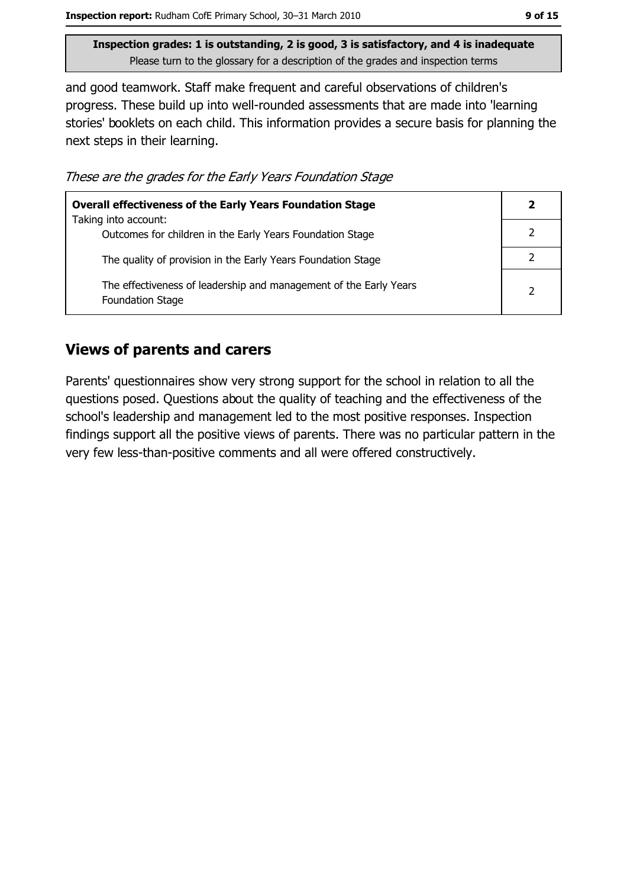and good teamwork. Staff make frequent and careful observations of children's progress. These build up into well-rounded assessments that are made into 'learning stories' booklets on each child. This information provides a secure basis for planning the next steps in their learning.

These are the grades for the Early Years Foundation Stage

| <b>Overall effectiveness of the Early Years Foundation Stage</b>                             |   |
|----------------------------------------------------------------------------------------------|---|
| Taking into account:<br>Outcomes for children in the Early Years Foundation Stage            |   |
| The quality of provision in the Early Years Foundation Stage                                 |   |
| The effectiveness of leadership and management of the Early Years<br><b>Foundation Stage</b> | 2 |

#### **Views of parents and carers**

Parents' questionnaires show very strong support for the school in relation to all the questions posed. Questions about the quality of teaching and the effectiveness of the school's leadership and management led to the most positive responses. Inspection findings support all the positive views of parents. There was no particular pattern in the very few less-than-positive comments and all were offered constructively.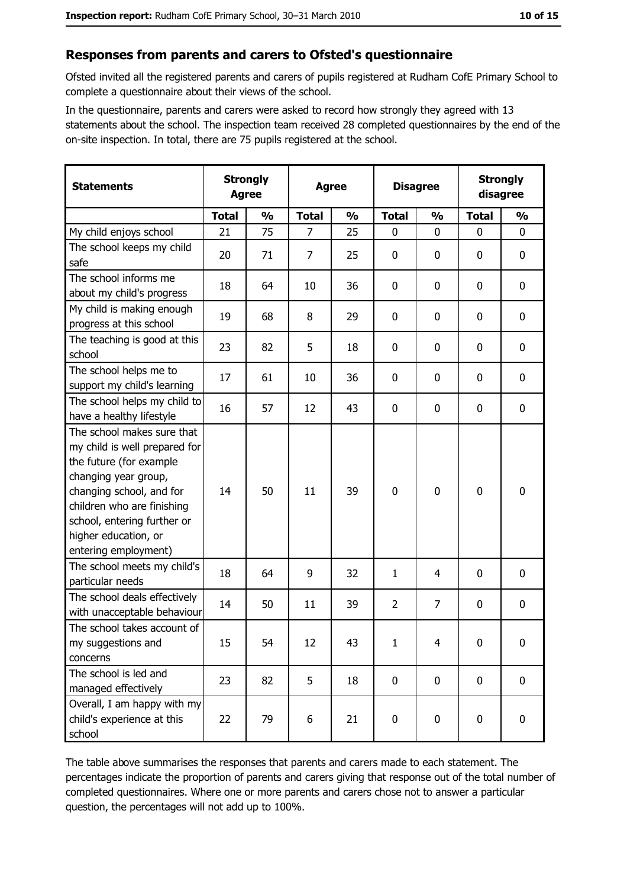#### Responses from parents and carers to Ofsted's questionnaire

Ofsted invited all the registered parents and carers of pupils registered at Rudham CofE Primary School to complete a questionnaire about their views of the school.

In the questionnaire, parents and carers were asked to record how strongly they agreed with 13 statements about the school. The inspection team received 28 completed questionnaires by the end of the on-site inspection. In total, there are 75 pupils registered at the school.

| <b>Statements</b>                                                                                                                                                                                                                                       | <b>Strongly</b><br><b>Agree</b> |               | <b>Agree</b>   |               |                | <b>Disagree</b> |              | <b>Strongly</b><br>disagree |  |
|---------------------------------------------------------------------------------------------------------------------------------------------------------------------------------------------------------------------------------------------------------|---------------------------------|---------------|----------------|---------------|----------------|-----------------|--------------|-----------------------------|--|
|                                                                                                                                                                                                                                                         | <b>Total</b>                    | $\frac{0}{0}$ | <b>Total</b>   | $\frac{0}{0}$ | <b>Total</b>   | $\frac{1}{2}$   | <b>Total</b> | $\frac{0}{0}$               |  |
| My child enjoys school                                                                                                                                                                                                                                  | 21                              | 75            | $\overline{7}$ | 25            | $\mathbf{0}$   | $\mathbf{0}$    | $\mathbf{0}$ | $\mathbf{0}$                |  |
| The school keeps my child<br>safe                                                                                                                                                                                                                       | 20                              | 71            | 7              | 25            | $\mathbf 0$    | 0               | 0            | $\mathbf 0$                 |  |
| The school informs me<br>about my child's progress                                                                                                                                                                                                      | 18                              | 64            | 10             | 36            | 0              | 0               | 0            | 0                           |  |
| My child is making enough<br>progress at this school                                                                                                                                                                                                    | 19                              | 68            | 8              | 29            | $\mathbf 0$    | 0               | 0            | $\mathbf 0$                 |  |
| The teaching is good at this<br>school                                                                                                                                                                                                                  | 23                              | 82            | 5              | 18            | $\mathbf 0$    | 0               | 0            | $\mathbf 0$                 |  |
| The school helps me to<br>support my child's learning                                                                                                                                                                                                   | 17                              | 61            | 10             | 36            | 0              | 0               | 0            | 0                           |  |
| The school helps my child to<br>have a healthy lifestyle                                                                                                                                                                                                | 16                              | 57            | 12             | 43            | 0              | 0               | 0            | $\mathbf 0$                 |  |
| The school makes sure that<br>my child is well prepared for<br>the future (for example<br>changing year group,<br>changing school, and for<br>children who are finishing<br>school, entering further or<br>higher education, or<br>entering employment) | 14                              | 50            | 11             | 39            | $\mathbf 0$    | $\mathbf 0$     | $\mathbf 0$  | $\mathbf 0$                 |  |
| The school meets my child's<br>particular needs                                                                                                                                                                                                         | 18                              | 64            | 9              | 32            | $\mathbf{1}$   | 4               | 0            | $\mathbf 0$                 |  |
| The school deals effectively<br>with unacceptable behaviour                                                                                                                                                                                             | 14                              | 50            | 11             | 39            | $\overline{2}$ | $\overline{7}$  | 0            | $\bf{0}$                    |  |
| The school takes account of<br>my suggestions and<br>concerns                                                                                                                                                                                           | 15                              | 54            | 12             | 43            | $\mathbf{1}$   | 4               | 0            | $\bf{0}$                    |  |
| The school is led and<br>managed effectively                                                                                                                                                                                                            | 23                              | 82            | 5              | 18            | $\mathbf 0$    | 0               | $\mathbf 0$  | $\mathbf 0$                 |  |
| Overall, I am happy with my<br>child's experience at this<br>school                                                                                                                                                                                     | 22                              | 79            | 6              | 21            | $\mathbf 0$    | 0               | 0            | $\mathbf 0$                 |  |

The table above summarises the responses that parents and carers made to each statement. The percentages indicate the proportion of parents and carers giving that response out of the total number of completed questionnaires. Where one or more parents and carers chose not to answer a particular question, the percentages will not add up to 100%.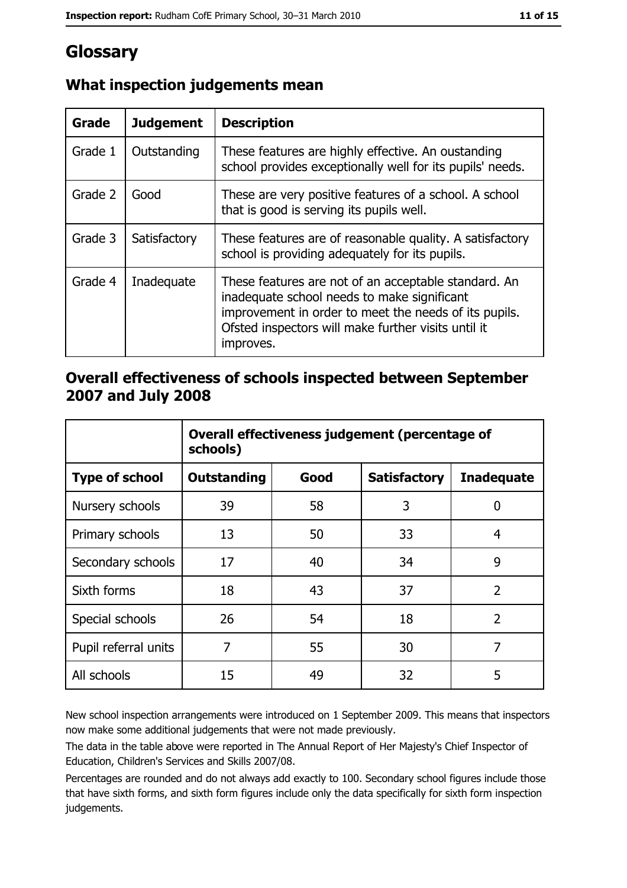# Glossary

| Grade   | <b>Judgement</b> | <b>Description</b>                                                                                                                                                                                                               |
|---------|------------------|----------------------------------------------------------------------------------------------------------------------------------------------------------------------------------------------------------------------------------|
| Grade 1 | Outstanding      | These features are highly effective. An oustanding<br>school provides exceptionally well for its pupils' needs.                                                                                                                  |
| Grade 2 | Good             | These are very positive features of a school. A school<br>that is good is serving its pupils well.                                                                                                                               |
| Grade 3 | Satisfactory     | These features are of reasonable quality. A satisfactory<br>school is providing adequately for its pupils.                                                                                                                       |
| Grade 4 | Inadequate       | These features are not of an acceptable standard. An<br>inadequate school needs to make significant<br>improvement in order to meet the needs of its pupils.<br>Ofsted inspectors will make further visits until it<br>improves. |

# What inspection judgements mean

## Overall effectiveness of schools inspected between September 2007 and July 2008

|                       | Overall effectiveness judgement (percentage of<br>schools) |      |                     |                   |
|-----------------------|------------------------------------------------------------|------|---------------------|-------------------|
| <b>Type of school</b> | <b>Outstanding</b>                                         | Good | <b>Satisfactory</b> | <b>Inadequate</b> |
| Nursery schools       | 39                                                         | 58   | 3                   | 0                 |
| Primary schools       | 13                                                         | 50   | 33                  | 4                 |
| Secondary schools     | 17                                                         | 40   | 34                  | 9                 |
| Sixth forms           | 18                                                         | 43   | 37                  | $\overline{2}$    |
| Special schools       | 26                                                         | 54   | 18                  | $\overline{2}$    |
| Pupil referral units  | 7                                                          | 55   | 30                  | 7                 |
| All schools           | 15                                                         | 49   | 32                  | 5                 |

New school inspection arrangements were introduced on 1 September 2009. This means that inspectors now make some additional judgements that were not made previously.

The data in the table above were reported in The Annual Report of Her Majesty's Chief Inspector of Education, Children's Services and Skills 2007/08.

Percentages are rounded and do not always add exactly to 100. Secondary school figures include those that have sixth forms, and sixth form figures include only the data specifically for sixth form inspection judgements.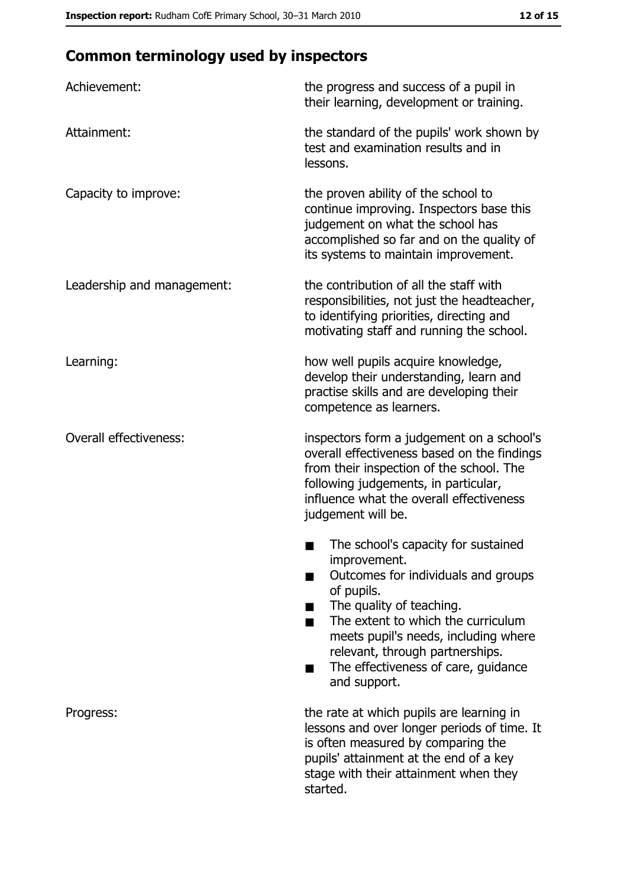# **Common terminology used by inspectors**

| Achievement:                  | the progress and success of a pupil in<br>their learning, development or training.                                                                                                                                                                                                                           |
|-------------------------------|--------------------------------------------------------------------------------------------------------------------------------------------------------------------------------------------------------------------------------------------------------------------------------------------------------------|
| Attainment:                   | the standard of the pupils' work shown by<br>test and examination results and in<br>lessons.                                                                                                                                                                                                                 |
| Capacity to improve:          | the proven ability of the school to<br>continue improving. Inspectors base this<br>judgement on what the school has<br>accomplished so far and on the quality of<br>its systems to maintain improvement.                                                                                                     |
| Leadership and management:    | the contribution of all the staff with<br>responsibilities, not just the headteacher,<br>to identifying priorities, directing and<br>motivating staff and running the school.                                                                                                                                |
| Learning:                     | how well pupils acquire knowledge,<br>develop their understanding, learn and<br>practise skills and are developing their<br>competence as learners.                                                                                                                                                          |
| <b>Overall effectiveness:</b> | inspectors form a judgement on a school's<br>overall effectiveness based on the findings<br>from their inspection of the school. The<br>following judgements, in particular,<br>influence what the overall effectiveness<br>judgement will be.                                                               |
|                               | The school's capacity for sustained<br>improvement.<br>Outcomes for individuals and groups<br>of pupils.<br>The quality of teaching.<br>The extent to which the curriculum<br>meets pupil's needs, including where<br>relevant, through partnerships.<br>The effectiveness of care, guidance<br>and support. |
| Progress:                     | the rate at which pupils are learning in<br>lessons and over longer periods of time. It<br>is often measured by comparing the<br>pupils' attainment at the end of a key<br>stage with their attainment when they<br>started.                                                                                 |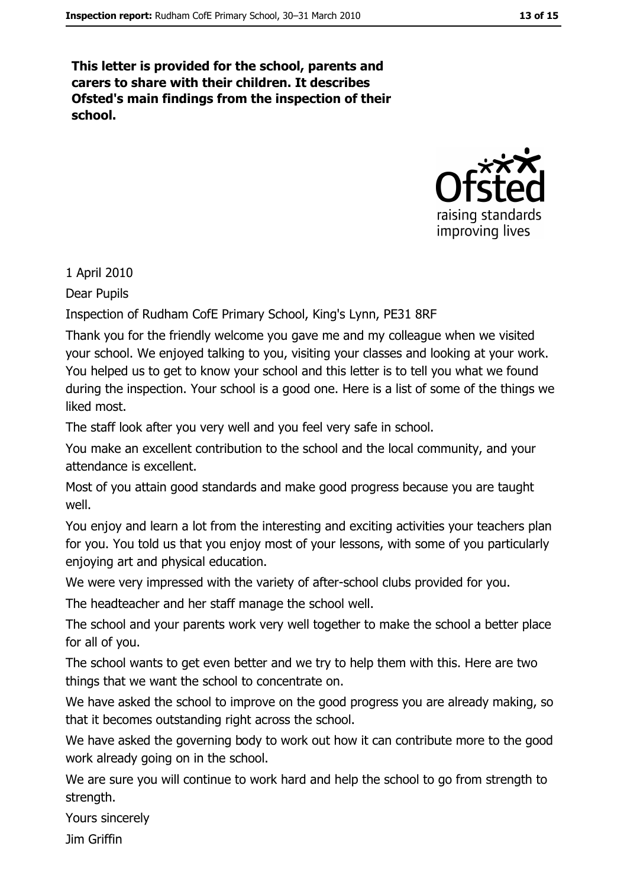This letter is provided for the school, parents and carers to share with their children. It describes Ofsted's main findings from the inspection of their school.



1 April 2010

Dear Pupils

Inspection of Rudham CofE Primary School, King's Lynn, PE31 8RF

Thank you for the friendly welcome you gave me and my colleague when we visited your school. We enjoyed talking to you, visiting your classes and looking at your work. You helped us to get to know your school and this letter is to tell you what we found during the inspection. Your school is a good one. Here is a list of some of the things we liked most.

The staff look after you very well and you feel very safe in school.

You make an excellent contribution to the school and the local community, and your attendance is excellent.

Most of you attain good standards and make good progress because you are taught well.

You enjoy and learn a lot from the interesting and exciting activities your teachers plan for you. You told us that you enjoy most of your lessons, with some of you particularly enjoying art and physical education.

We were very impressed with the variety of after-school clubs provided for you.

The headteacher and her staff manage the school well.

The school and your parents work very well together to make the school a better place for all of you.

The school wants to get even better and we try to help them with this. Here are two things that we want the school to concentrate on.

We have asked the school to improve on the good progress you are already making, so that it becomes outstanding right across the school.

We have asked the governing body to work out how it can contribute more to the good work already going on in the school.

We are sure you will continue to work hard and help the school to go from strength to strength.

Yours sincerely

**Jim Griffin**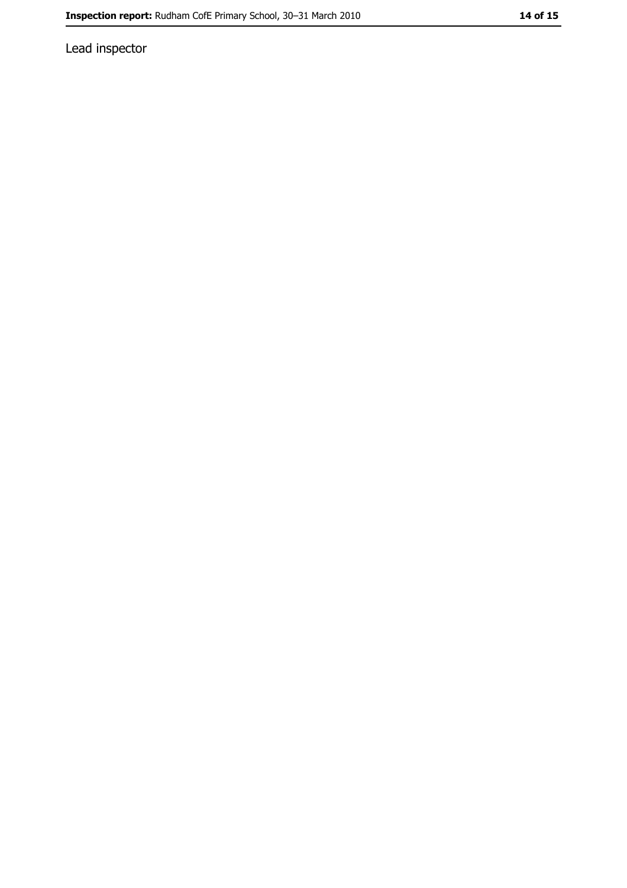Lead inspector